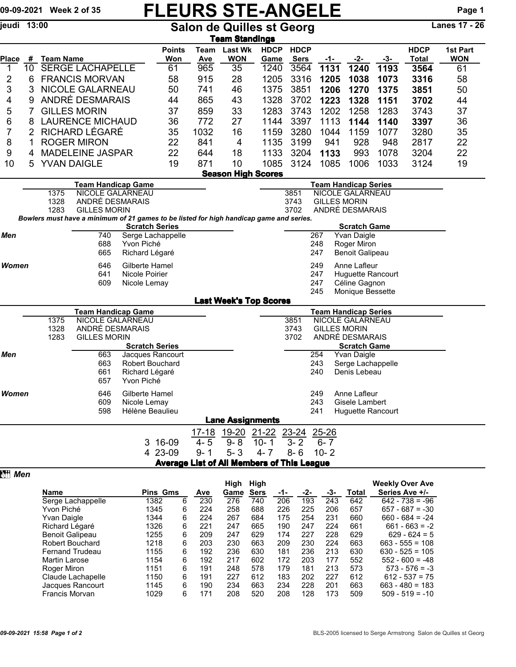## 09-09-2021 Week 2 of 35 FLEURS STE-ANGELE Page 1

jeudi 13:00 Salon de Quilles st Georg Lanes 17 - 26

| Tea <u>m Standings</u>                                                                  |                                   |                                                     |                                               |                                 |                                                   |                          |                               |                |              |            |                                                        |                    |              |            |  |
|-----------------------------------------------------------------------------------------|-----------------------------------|-----------------------------------------------------|-----------------------------------------------|---------------------------------|---------------------------------------------------|--------------------------|-------------------------------|----------------|--------------|------------|--------------------------------------------------------|--------------------|--------------|------------|--|
|                                                                                         |                                   |                                                     |                                               |                                 | <b>Points</b>                                     | Team                     | <b>Last Wk</b>                | <b>HDCP</b>    | <b>HDCP</b>  |            |                                                        |                    | <b>HDCP</b>  | 1st Part   |  |
| <b>Place</b>                                                                            | #                                 | <b>Team Name</b>                                    |                                               |                                 | Won                                               | <b>Ave</b>               | <b>WON</b>                    | Game           | <b>Sers</b>  | -1-        | -2-                                                    | -3-                | <b>Total</b> | <b>WON</b> |  |
| 1                                                                                       | 10                                |                                                     | <b>SERGE LACHAPELLE</b>                       |                                 | 61                                                | 965                      | 35                            | 1240           | 3564         | 1131       | 1240                                                   | 1193               | 3564         | 61         |  |
| 2                                                                                       | 6                                 | <b>FRANCIS MORVAN</b>                               |                                               |                                 | 58                                                | 915                      | 28                            | 1205           | 3316         | 1205       | 1038                                                   | 1073               | 3316         | 58         |  |
| 3                                                                                       | 3                                 | NICOLE GALARNEAU                                    |                                               |                                 | 50                                                | 741                      | 46                            | 1375           | 3851         | 1206       | 1270                                                   | 1375               | 3851         | 50         |  |
| 4                                                                                       | 9                                 | ANDRÉ DESMARAIS                                     |                                               |                                 | 44                                                | 865                      | 43                            | 1328           | 3702         | 1223       | 1328                                                   | 1151               | 3702         | 44         |  |
| 5                                                                                       |                                   | 7<br><b>GILLES MORIN</b>                            |                                               |                                 | 37                                                | 859                      | 33                            | 1283           | 3743         | 1202       | 1258                                                   | 1283               | 3743         | 37         |  |
|                                                                                         | 6<br><b>LAURENCE MICHAUD</b><br>8 |                                                     |                                               | 36                              | 772                                               | 27                       | 1144                          | 3397           | 1113         | 1144       | 1140                                                   | 3397               | 36           |            |  |
|                                                                                         | RICHARD LÉGARÉ<br>7<br>2          |                                                     |                                               | 35                              | 1032                                              | 16                       | 1159                          | 3280           | 1044         | 1159       | 1077                                                   | 3280               | 35           |            |  |
| 8                                                                                       | 1                                 | <b>ROGER MIRON</b>                                  |                                               |                                 | 22                                                | 841                      | 4                             | 1135           | 3199         | 941        | 928                                                    | 948                | 2817         | 22         |  |
| 9                                                                                       | <b>MADELEINE JASPAR</b><br>4      |                                                     |                                               | 22                              | 644                                               | 18                       | 1133                          | 3204           | 1133         | 993        | 1078                                                   | 3204               | 22           |            |  |
| 10                                                                                      | 5                                 |                                                     | <b>YVAN DAIGLE</b>                            |                                 | 19                                                | 871                      | 10                            | 1085           | 3124         | 1085       | 1006                                                   | 1033               | 3124         | 19         |  |
|                                                                                         | <b>Season High Scores</b>         |                                                     |                                               |                                 |                                                   |                          |                               |                |              |            |                                                        |                    |              |            |  |
|                                                                                         |                                   | 1375                                                | <b>Team Handicap Game</b><br>NICOLE GALARNEAU |                                 |                                                   |                          |                               |                | 3851         |            | <b>Team Handicap Series</b><br><b>NICOLE GALARNEAU</b> |                    |              |            |  |
|                                                                                         |                                   | 1328                                                | ANDRÉ DESMARAIS                               |                                 |                                                   |                          |                               |                |              |            | <b>GILLES MORIN</b>                                    |                    |              |            |  |
|                                                                                         |                                   | 1283                                                | <b>GILLES MORIN</b>                           |                                 |                                                   |                          |                               |                | 3743<br>3702 |            | ANDRÉ DESMARAIS                                        |                    |              |            |  |
| Bowlers must have a minimum of 21 games to be listed for high handicap game and series. |                                   |                                                     |                                               |                                 |                                                   |                          |                               |                |              |            |                                                        |                    |              |            |  |
| Men                                                                                     |                                   |                                                     | 740                                           | <b>Scratch Series</b>           |                                                   |                          |                               |                |              | 267        | <b>Scratch Game</b><br>Yvan Daigle                     |                    |              |            |  |
|                                                                                         |                                   |                                                     | 688                                           | Serge Lachappelle<br>Yvon Piché |                                                   |                          | 248                           |                |              |            |                                                        |                    |              |            |  |
|                                                                                         |                                   |                                                     | 665                                           | Richard Légaré                  |                                                   |                          |                               |                |              | 247        | Roger Miron<br><b>Benoit Galipeau</b>                  |                    |              |            |  |
| Women                                                                                   |                                   | 646<br>Gilberte Hamel                               |                                               |                                 |                                                   |                          |                               |                |              | 249        | Anne Lafleur                                           |                    |              |            |  |
|                                                                                         |                                   |                                                     | 641                                           | Nicole Poirier                  |                                                   | 247<br>Huguette Rancourt |                               |                |              |            |                                                        |                    |              |            |  |
|                                                                                         |                                   |                                                     | 609                                           | Nicole Lemay                    |                                                   | 247                      |                               |                |              |            | Céline Gagnon                                          |                    |              |            |  |
|                                                                                         |                                   |                                                     |                                               |                                 |                                                   |                          |                               |                |              | 245        | Monique Bessette                                       |                    |              |            |  |
|                                                                                         |                                   |                                                     |                                               |                                 |                                                   |                          | <b>Last Week's Top Scores</b> |                |              |            |                                                        |                    |              |            |  |
|                                                                                         |                                   |                                                     | <b>Team Handicap Game</b>                     |                                 |                                                   |                          |                               |                |              |            | <b>Team Handicap Series</b>                            |                    |              |            |  |
|                                                                                         |                                   | NICOLE GALARNEAU<br>1375<br>ANDRÉ DESMARAIS<br>1328 |                                               |                                 |                                                   |                          |                               |                | 3851<br>3743 |            | <b>NICOLE GALARNEAU</b><br><b>GILLES MORIN</b>         |                    |              |            |  |
|                                                                                         |                                   | 1283<br><b>GILLES MORIN</b>                         |                                               |                                 |                                                   | 3702                     |                               |                |              |            | ANDRÉ DESMARAIS                                        |                    |              |            |  |
|                                                                                         |                                   |                                                     |                                               | <b>Scratch Series</b>           |                                                   |                          |                               |                |              |            | <b>Scratch Game</b>                                    |                    |              |            |  |
| Men                                                                                     |                                   |                                                     | 663                                           | Jacques Rancourt                |                                                   |                          |                               |                |              | 254        | Yvan Daigle                                            |                    |              |            |  |
|                                                                                         |                                   |                                                     | 663                                           | Robert Bouchard                 |                                                   |                          |                               |                |              | 243        | Serge Lachappelle                                      |                    |              |            |  |
|                                                                                         |                                   |                                                     | 661<br>657                                    | Richard Légaré<br>Yvon Piché    |                                                   |                          |                               |                |              | 240        | Denis Lebeau                                           |                    |              |            |  |
|                                                                                         |                                   |                                                     |                                               |                                 |                                                   |                          |                               |                |              |            |                                                        |                    |              |            |  |
| Women                                                                                   |                                   |                                                     | 646<br>609                                    | Gilberte Hamel                  |                                                   |                          |                               |                |              | 249<br>243 | Anne Lafleur<br>Gisele Lambert                         |                    |              |            |  |
|                                                                                         |                                   |                                                     | 598                                           | Nicole Lemay<br>Hélène Beaulieu |                                                   |                          |                               |                |              | 241        | Huguette Rancourt                                      |                    |              |            |  |
|                                                                                         |                                   |                                                     |                                               |                                 |                                                   |                          | <b>Lane Assignments</b>       |                |              |            |                                                        |                    |              |            |  |
| 17-18 19-20 21-22 23-24 25-26                                                           |                                   |                                                     |                                               |                                 |                                                   |                          |                               |                |              |            |                                                        |                    |              |            |  |
|                                                                                         |                                   |                                                     |                                               |                                 | 3 16-09                                           | $4 - 5$                  |                               | $9 - 8$ 10 - 1 | $3 - 2$      | $6 - 7$    |                                                        |                    |              |            |  |
| 4 23-09<br>$9 - 1$<br>$5 - 3$                                                           |                                   |                                                     |                                               |                                 |                                                   |                          |                               | $4 - 7$        | $8 - 6$      | $10 - 2$   |                                                        |                    |              |            |  |
|                                                                                         |                                   |                                                     |                                               |                                 | <b>Average List of All Members of This League</b> |                          |                               |                |              |            |                                                        |                    |              |            |  |
|                                                                                         |                                   |                                                     |                                               |                                 |                                                   |                          |                               |                |              |            |                                                        |                    |              |            |  |
|                                                                                         |                                   |                                                     |                                               |                                 |                                                   |                          | Uiah Uiah                     |                |              |            |                                                        | $M$ ookhu Owar Awa |              |            |  |

|                        | High<br>High    |   |     |      |             |     |     |     |       | <b>Weekly Over Ave</b> |  |  |
|------------------------|-----------------|---|-----|------|-------------|-----|-----|-----|-------|------------------------|--|--|
| <b>Name</b>            | <b>Pins Gms</b> |   | Ave | Game | <b>Sers</b> | -1- | -2- | -3- | Total | Series Ave +/-         |  |  |
| Serge Lachappelle      | 1382            | 6 | 230 | 276  | 740         | 206 | 193 | 243 | 642   | $642 - 738 = -96$      |  |  |
| Yvon Piché             | 1345            | 6 | 224 | 258  | 688         | 226 | 225 | 206 | 657   | $657 - 687 = -30$      |  |  |
| Yvan Daigle            | 1344            | 6 | 224 | 267  | 684         | 175 | 254 | 231 | 660   | $660 - 684 = -24$      |  |  |
| Richard Légaré         | 1326            | 6 | 221 | 247  | 665         | 190 | 247 | 224 | 661   | $661 - 663 = -2$       |  |  |
| <b>Benoit Galipeau</b> | 1255            | 6 | 209 | 247  | 629         | 174 | 227 | 228 | 629   | $629 - 624 = 5$        |  |  |
| <b>Robert Bouchard</b> | 1218            | 6 | 203 | 230  | 663         | 209 | 230 | 224 | 663   | $663 - 555 = 108$      |  |  |
| <b>Fernand Trudeau</b> | 1155            | 6 | 192 | 236  | 630         | 181 | 236 | 213 | 630   | $630 - 525 = 105$      |  |  |
| Martin Larose          | 1154            | 6 | 192 | 217  | 602         | 172 | 203 | 177 | 552   | $552 - 600 = -48$      |  |  |
| Roger Miron            | 1151            | 6 | 191 | 248  | 578         | 179 | 181 | 213 | 573   | $573 - 576 = -3$       |  |  |
| Claude Lachapelle      | 1150            | 6 | 191 | 227  | 612         | 183 | 202 | 227 | 612   | $612 - 537 = 75$       |  |  |
| Jacques Rancourt       | 1145            | 6 | 190 | 234  | 663         | 234 | 228 | 201 | 663   | $663 - 480 = 183$      |  |  |
| Francis Morvan         | 1029            | 6 | 171 | 208  | 520         | 208 | 128 | 173 | 509   | $509 - 519 = -10$      |  |  |